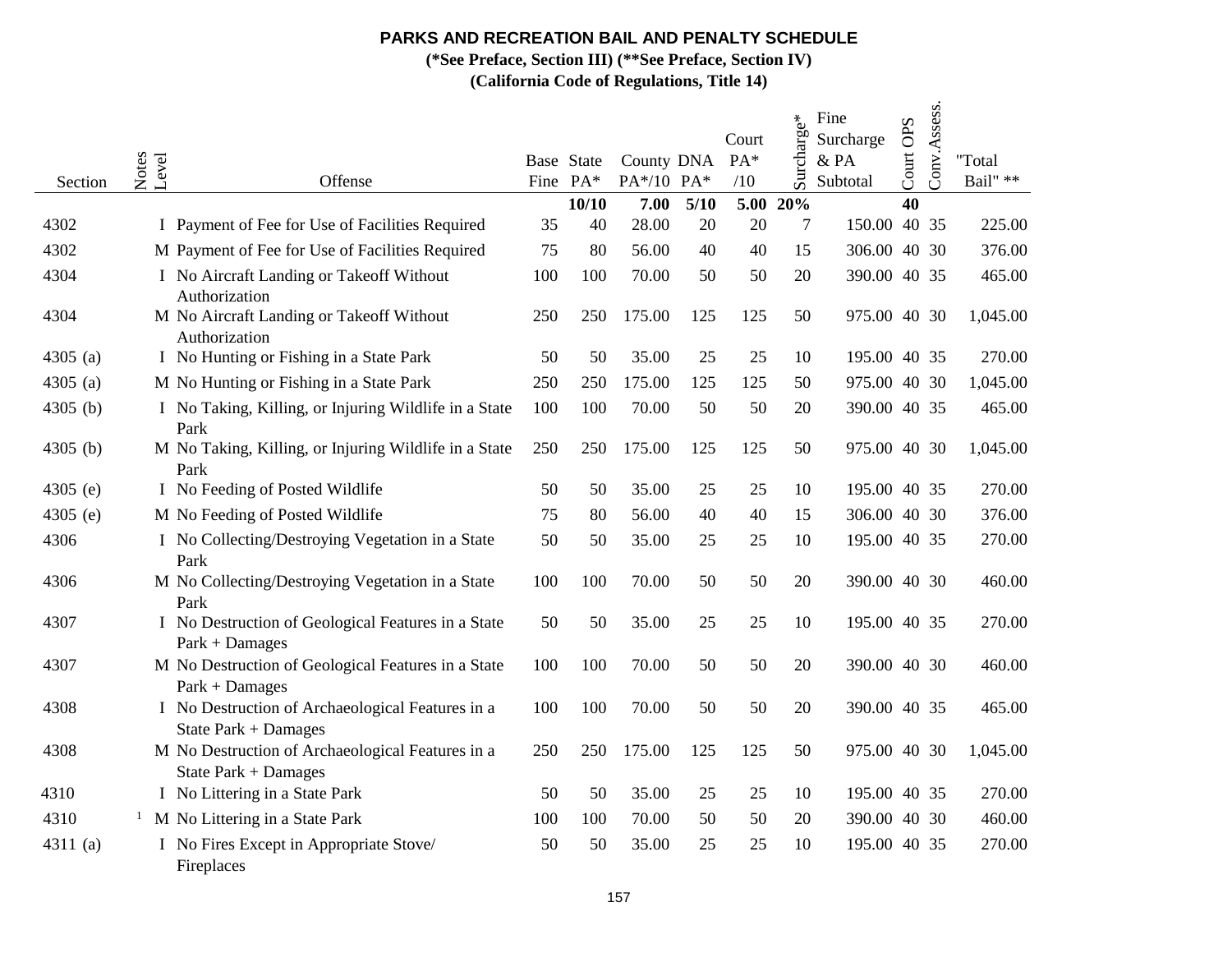**(\*See Preface, Section III) (\*\*See Preface, Section IV)**

| Section    | Notes<br>Level<br>Offense                                                |     | Base State<br>Fine PA* | County DNA<br>PA*/10 PA* |        | Court<br>$PA*$<br>/10 | Surcharge* | Fine<br>Surcharge<br>$&$ PA<br>Subtotal | Court OPS | Conv.Assess. | "Total<br>Bail" ** |
|------------|--------------------------------------------------------------------------|-----|------------------------|--------------------------|--------|-----------------------|------------|-----------------------------------------|-----------|--------------|--------------------|
|            |                                                                          |     | 10/10                  | 7.00                     | $5/10$ | 5.00                  | 20%        |                                         | 40        |              |                    |
| 4302       | I Payment of Fee for Use of Facilities Required                          | 35  | 40                     | 28.00                    | 20     | 20                    | 7          | 150.00 40 35                            |           |              | 225.00             |
| 4302       | M Payment of Fee for Use of Facilities Required                          | 75  | 80                     | 56.00                    | 40     | 40                    | 15         | 306.00 40 30                            |           |              | 376.00             |
| 4304       | I No Aircraft Landing or Takeoff Without<br>Authorization                | 100 | 100                    | 70.00                    | 50     | 50                    | 20         | 390.00 40 35                            |           |              | 465.00             |
| 4304       | M No Aircraft Landing or Takeoff Without<br>Authorization                | 250 | 250                    | 175.00                   | 125    | 125                   | 50         | 975.00 40 30                            |           |              | 1,045.00           |
| 4305 $(a)$ | I No Hunting or Fishing in a State Park                                  | 50  | 50                     | 35.00                    | 25     | 25                    | 10         | 195.00 40 35                            |           |              | 270.00             |
| 4305 $(a)$ | M No Hunting or Fishing in a State Park                                  | 250 | 250                    | 175.00                   | 125    | 125                   | 50         | 975.00 40 30                            |           |              | 1,045.00           |
| 4305 (b)   | I No Taking, Killing, or Injuring Wildlife in a State<br>Park            | 100 | 100                    | 70.00                    | 50     | 50                    | 20         | 390.00 40 35                            |           |              | 465.00             |
| 4305 $(b)$ | M No Taking, Killing, or Injuring Wildlife in a State<br>Park            | 250 | 250                    | 175.00                   | 125    | 125                   | 50         | 975.00 40 30                            |           |              | 1,045.00           |
| 4305 (e)   | I No Feeding of Posted Wildlife                                          | 50  | 50                     | 35.00                    | 25     | 25                    | 10         | 195.00 40 35                            |           |              | 270.00             |
| 4305 $(e)$ | M No Feeding of Posted Wildlife                                          | 75  | 80                     | 56.00                    | 40     | 40                    | 15         | 306.00 40 30                            |           |              | 376.00             |
| 4306       | I No Collecting/Destroying Vegetation in a State<br>Park                 | 50  | 50                     | 35.00                    | 25     | 25                    | 10         | 195.00 40 35                            |           |              | 270.00             |
| 4306       | M No Collecting/Destroying Vegetation in a State<br>Park                 | 100 | 100                    | 70.00                    | 50     | 50                    | 20         | 390.00 40 30                            |           |              | 460.00             |
| 4307       | I No Destruction of Geological Features in a State<br>$Park + Damages$   | 50  | 50                     | 35.00                    | 25     | 25                    | 10         | 195.00 40 35                            |           |              | 270.00             |
| 4307       | M No Destruction of Geological Features in a State<br>$Park + Damages$   | 100 | 100                    | 70.00                    | 50     | 50                    | 20         | 390.00 40 30                            |           |              | 460.00             |
| 4308       | I No Destruction of Archaeological Features in a<br>State Park + Damages | 100 | 100                    | 70.00                    | 50     | 50                    | 20         | 390.00 40 35                            |           |              | 465.00             |
| 4308       | M No Destruction of Archaeological Features in a<br>State Park + Damages | 250 | 250                    | 175.00                   | 125    | 125                   | 50         | 975.00 40 30                            |           |              | 1,045.00           |
| 4310       | I No Littering in a State Park                                           | 50  | 50                     | 35.00                    | 25     | 25                    | 10         | 195.00 40 35                            |           |              | 270.00             |
| 4310       | M No Littering in a State Park                                           | 100 | 100                    | 70.00                    | 50     | 50                    | 20         | 390.00 40 30                            |           |              | 460.00             |
| 4311 $(a)$ | I No Fires Except in Appropriate Stove/<br>Fireplaces                    | 50  | 50                     | 35.00                    | 25     | 25                    | 10         | 195.00 40 35                            |           |              | 270.00             |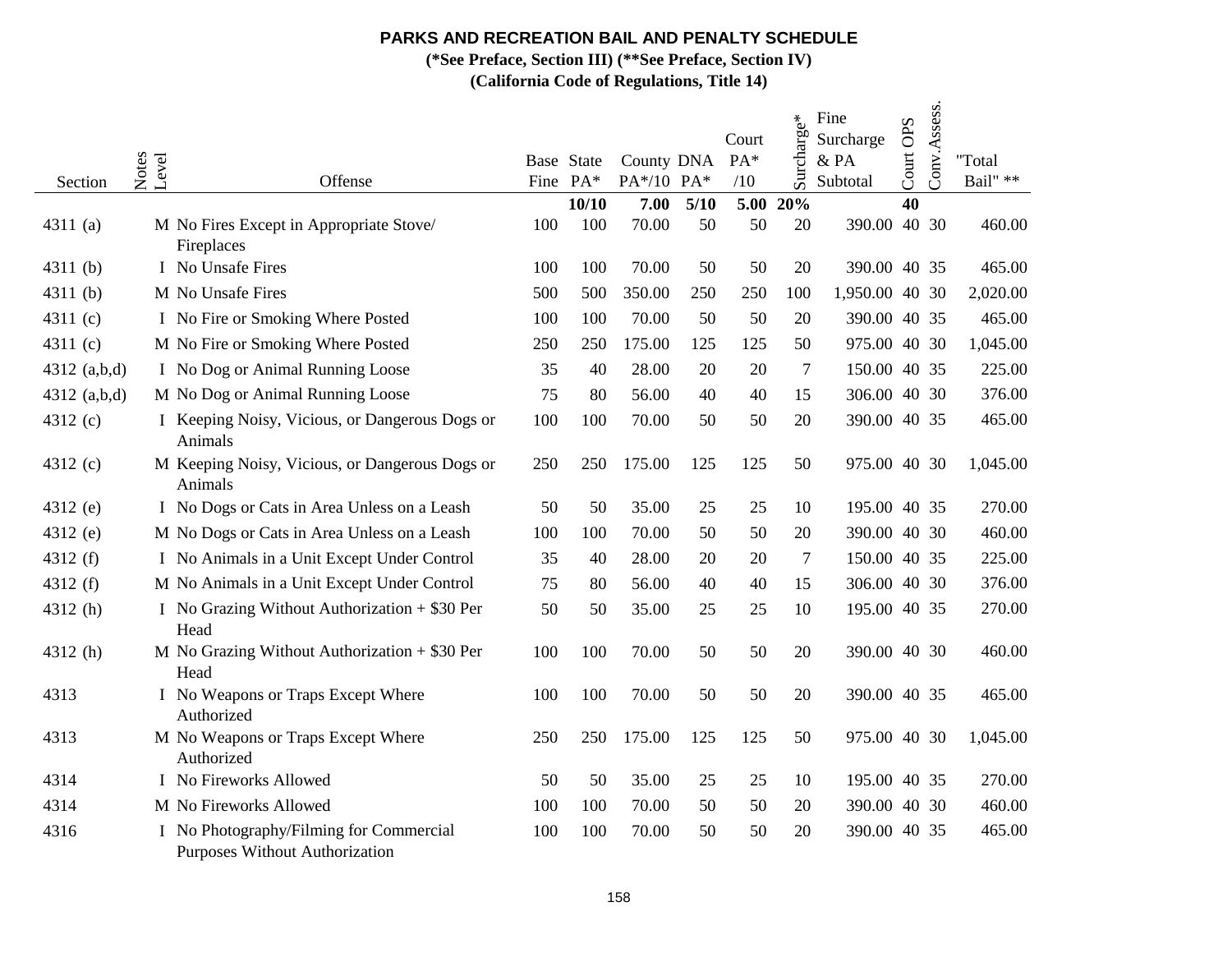**(\*See Preface, Section III) (\*\*See Preface, Section IV)**

| Section        | Notes<br>Level<br>Offense                                                 |     | Base State<br>Fine PA* | County DNA<br>PA*/10 PA* |      | Court<br>PA*<br>/10 | Surcharge* | Fine<br>Surcharge<br>& PA<br>Subtotal | Court OPS | Conv.Assess. | "Total<br>Bail" ** |
|----------------|---------------------------------------------------------------------------|-----|------------------------|--------------------------|------|---------------------|------------|---------------------------------------|-----------|--------------|--------------------|
|                |                                                                           |     | 10/10                  | 7.00                     | 5/10 | 5.00                | 20%        |                                       | 40        |              |                    |
| 4311 $(a)$     | M No Fires Except in Appropriate Stove/<br>Fireplaces                     | 100 | 100                    | 70.00                    | 50   | 50                  | 20         | 390.00 40 30                          |           |              | 460.00             |
| 4311 $(b)$     | I No Unsafe Fires                                                         | 100 | 100                    | 70.00                    | 50   | 50                  | 20         | 390.00 40 35                          |           |              | 465.00             |
| 4311 $(b)$     | M No Unsafe Fires                                                         | 500 | 500                    | 350.00                   | 250  | 250                 | 100        | 1,950.00 40 30                        |           |              | 2,020.00           |
| 4311 $(c)$     | I No Fire or Smoking Where Posted                                         | 100 | 100                    | 70.00                    | 50   | 50                  | 20         | 390.00 40 35                          |           |              | 465.00             |
| 4311 $(c)$     | M No Fire or Smoking Where Posted                                         | 250 | 250                    | 175.00                   | 125  | 125                 | 50         | 975.00 40 30                          |           |              | 1,045.00           |
| 4312 $(a,b,d)$ | I No Dog or Animal Running Loose                                          | 35  | 40                     | 28.00                    | 20   | 20                  | 7          | 150.00 40 35                          |           |              | 225.00             |
| 4312 $(a,b,d)$ | M No Dog or Animal Running Loose                                          | 75  | 80                     | 56.00                    | 40   | 40                  | 15         | 306.00 40 30                          |           |              | 376.00             |
| 4312 (c)       | I Keeping Noisy, Vicious, or Dangerous Dogs or<br>Animals                 | 100 | 100                    | 70.00                    | 50   | 50                  | 20         | 390.00 40 35                          |           |              | 465.00             |
| 4312 (c)       | M Keeping Noisy, Vicious, or Dangerous Dogs or<br>Animals                 | 250 | 250                    | 175.00                   | 125  | 125                 | 50         | 975.00 40 30                          |           |              | 1,045.00           |
| 4312 (e)       | I No Dogs or Cats in Area Unless on a Leash                               | 50  | 50                     | 35.00                    | 25   | 25                  | 10         | 195.00 40 35                          |           |              | 270.00             |
| 4312 (e)       | M No Dogs or Cats in Area Unless on a Leash                               | 100 | 100                    | 70.00                    | 50   | 50                  | 20         | 390.00 40 30                          |           |              | 460.00             |
| 4312 $(f)$     | I No Animals in a Unit Except Under Control                               | 35  | 40                     | 28.00                    | 20   | 20                  | 7          | 150.00 40 35                          |           |              | 225.00             |
| 4312 (f)       | M No Animals in a Unit Except Under Control                               | 75  | 80                     | 56.00                    | 40   | 40                  | 15         | 306.00 40 30                          |           |              | 376.00             |
| 4312 (h)       | I No Grazing Without Authorization $+$ \$30 Per<br>Head                   | 50  | 50                     | 35.00                    | 25   | 25                  | 10         | 195.00 40 35                          |           |              | 270.00             |
| 4312(h)        | M No Grazing Without Authorization $+$ \$30 Per<br>Head                   | 100 | 100                    | 70.00                    | 50   | 50                  | 20         | 390.00 40 30                          |           |              | 460.00             |
| 4313           | I No Weapons or Traps Except Where<br>Authorized                          | 100 | 100                    | 70.00                    | 50   | 50                  | 20         | 390.00 40 35                          |           |              | 465.00             |
| 4313           | M No Weapons or Traps Except Where<br>Authorized                          | 250 | 250                    | 175.00                   | 125  | 125                 | 50         | 975.00 40 30                          |           |              | 1,045.00           |
| 4314           | I No Fireworks Allowed                                                    | 50  | 50                     | 35.00                    | 25   | 25                  | 10         | 195.00 40 35                          |           |              | 270.00             |
| 4314           | M No Fireworks Allowed                                                    | 100 | 100                    | 70.00                    | 50   | 50                  | 20         | 390.00 40 30                          |           |              | 460.00             |
| 4316           | I No Photography/Filming for Commercial<br>Purposes Without Authorization | 100 | 100                    | 70.00                    | 50   | 50                  | 20         | 390.00 40 35                          |           |              | 465.00             |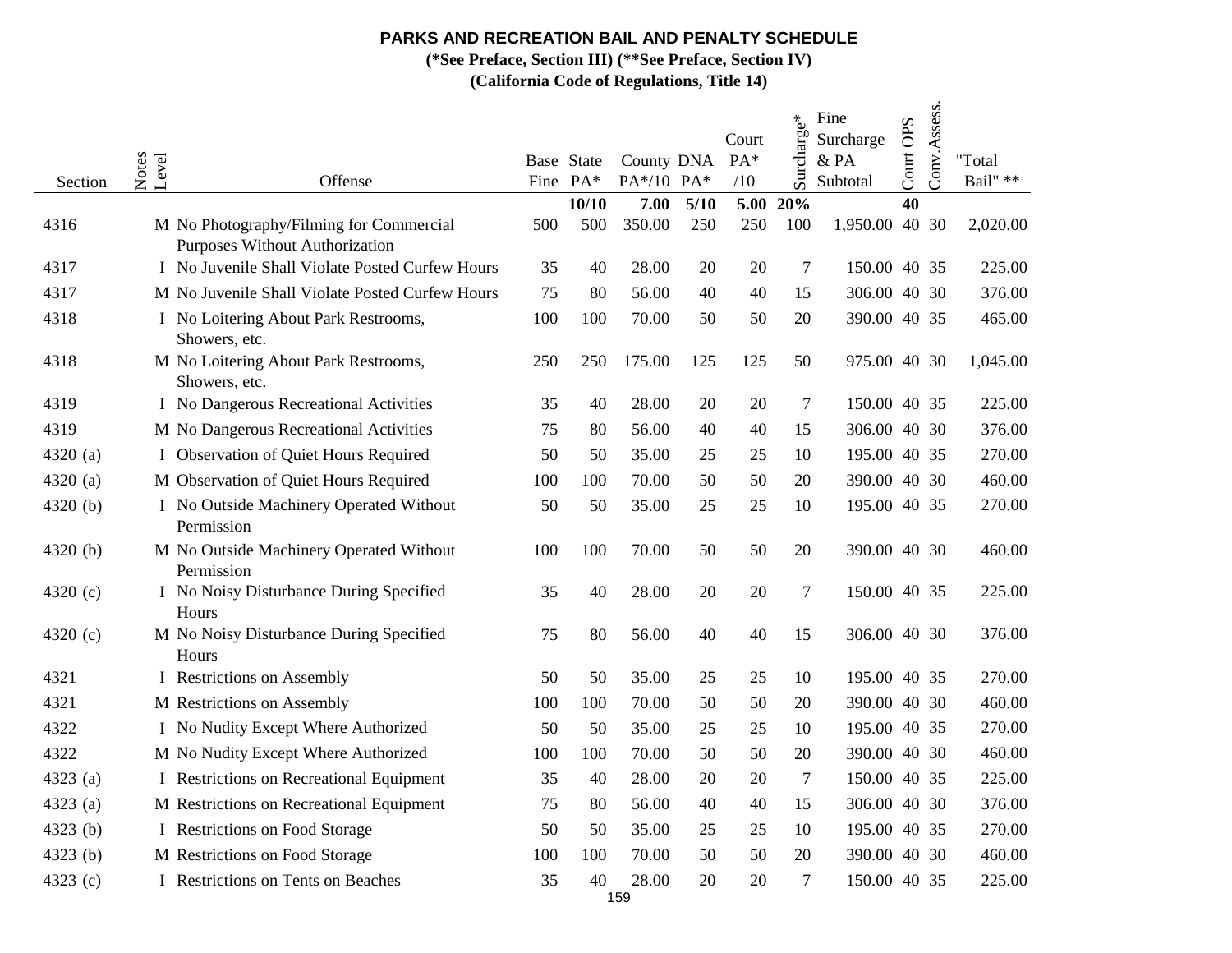**(\*See Preface, Section III) (\*\*See Preface, Section IV)**

| Section    | Notes<br>Level | Offense                                                                          |     | Base State<br>Fine PA* | County DNA<br>PA*/10 PA* |      | Court<br>$PA*$<br>/10 | Surcharge* | Fine<br>Surcharge<br>& PA<br>Subtotal | Court OPS | Conv.Assess. | "Total<br>Bail" ** |
|------------|----------------|----------------------------------------------------------------------------------|-----|------------------------|--------------------------|------|-----------------------|------------|---------------------------------------|-----------|--------------|--------------------|
|            |                |                                                                                  |     | 10/10                  | 7.00                     | 5/10 | 5.00                  | 20%        |                                       | 40        |              |                    |
| 4316       |                | M No Photography/Filming for Commercial<br><b>Purposes Without Authorization</b> | 500 | 500                    | 350.00                   | 250  | 250                   | 100        | 1,950.00 40 30                        |           |              | 2,020.00           |
| 4317       |                | I No Juvenile Shall Violate Posted Curfew Hours                                  | 35  | 40                     | 28.00                    | 20   | 20                    | 7          | 150.00 40 35                          |           |              | 225.00             |
| 4317       |                | M No Juvenile Shall Violate Posted Curfew Hours                                  | 75  | 80                     | 56.00                    | 40   | 40                    | 15         | 306.00 40 30                          |           |              | 376.00             |
| 4318       |                | I No Loitering About Park Restrooms,<br>Showers, etc.                            | 100 | 100                    | 70.00                    | 50   | 50                    | 20         | 390.00 40 35                          |           |              | 465.00             |
| 4318       |                | M No Loitering About Park Restrooms,<br>Showers, etc.                            | 250 | 250                    | 175.00                   | 125  | 125                   | 50         | 975.00 40 30                          |           |              | 1,045.00           |
| 4319       |                | I No Dangerous Recreational Activities                                           | 35  | 40                     | 28.00                    | 20   | 20                    | $\tau$     | 150.00 40 35                          |           |              | 225.00             |
| 4319       |                | M No Dangerous Recreational Activities                                           | 75  | 80                     | 56.00                    | 40   | 40                    | 15         | 306.00 40 30                          |           |              | 376.00             |
| 4320 $(a)$ |                | I Observation of Quiet Hours Required                                            | 50  | 50                     | 35.00                    | 25   | 25                    | 10         | 195.00 40 35                          |           |              | 270.00             |
| 4320 (a)   |                | M Observation of Quiet Hours Required                                            | 100 | 100                    | 70.00                    | 50   | 50                    | 20         | 390.00 40 30                          |           |              | 460.00             |
| 4320 (b)   |                | I No Outside Machinery Operated Without<br>Permission                            | 50  | 50                     | 35.00                    | 25   | 25                    | 10         | 195.00 40 35                          |           |              | 270.00             |
| 4320 $(b)$ |                | M No Outside Machinery Operated Without<br>Permission                            | 100 | 100                    | 70.00                    | 50   | 50                    | 20         | 390.00 40 30                          |           |              | 460.00             |
| 4320 (c)   |                | I No Noisy Disturbance During Specified<br>Hours                                 | 35  | 40                     | 28.00                    | 20   | 20                    | 7          | 150.00 40 35                          |           |              | 225.00             |
| 4320 (c)   |                | M No Noisy Disturbance During Specified<br>Hours                                 | 75  | 80                     | 56.00                    | 40   | 40                    | 15         | 306.00 40 30                          |           |              | 376.00             |
| 4321       |                | I Restrictions on Assembly                                                       | 50  | 50                     | 35.00                    | 25   | 25                    | 10         | 195.00 40 35                          |           |              | 270.00             |
| 4321       |                | M Restrictions on Assembly                                                       | 100 | 100                    | 70.00                    | 50   | 50                    | 20         | 390.00 40 30                          |           |              | 460.00             |
| 4322       |                | I No Nudity Except Where Authorized                                              | 50  | 50                     | 35.00                    | 25   | 25                    | 10         | 195.00 40 35                          |           |              | 270.00             |
| 4322       |                | M No Nudity Except Where Authorized                                              | 100 | 100                    | 70.00                    | 50   | 50                    | 20         | 390.00 40 30                          |           |              | 460.00             |
| 4323 (a)   |                | I Restrictions on Recreational Equipment                                         | 35  | 40                     | 28.00                    | 20   | 20                    | 7          | 150.00 40 35                          |           |              | 225.00             |
| 4323 $(a)$ |                | M Restrictions on Recreational Equipment                                         | 75  | 80                     | 56.00                    | 40   | 40                    | 15         | 306.00 40 30                          |           |              | 376.00             |
| 4323 $(b)$ |                | I Restrictions on Food Storage                                                   | 50  | 50                     | 35.00                    | 25   | 25                    | 10         | 195.00 40 35                          |           |              | 270.00             |
| 4323 (b)   |                | M Restrictions on Food Storage                                                   | 100 | 100                    | 70.00                    | 50   | 50                    | 20         | 390.00 40 30                          |           |              | 460.00             |
| 4323 (c)   |                | I Restrictions on Tents on Beaches                                               | 35  | 40                     | 28.00                    | 20   | 20                    | $\tau$     | 150.00 40 35                          |           |              | 225.00             |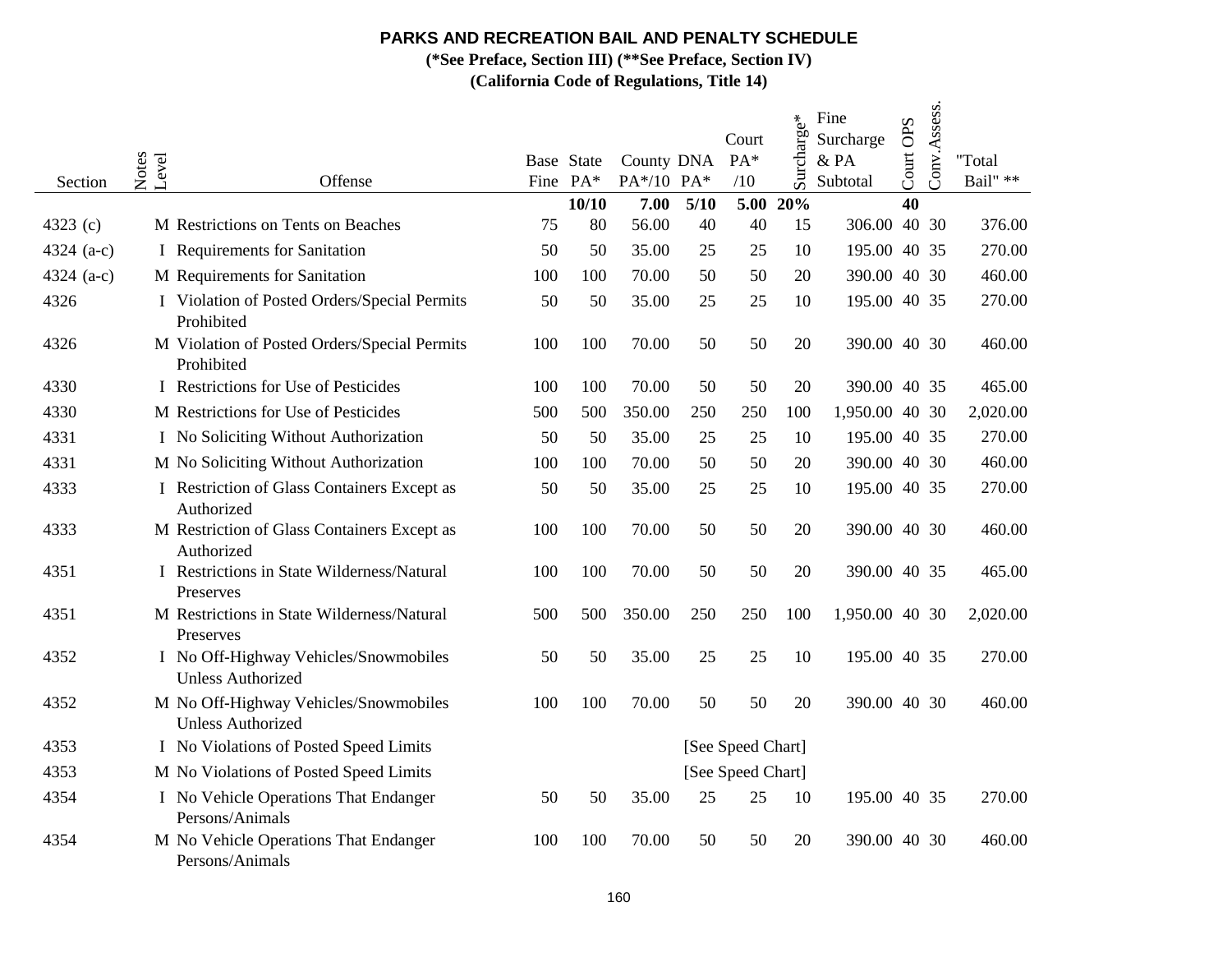**(\*See Preface, Section III) (\*\*See Preface, Section IV)**

| Section      | Notes<br>Level | Offense                                                           |     | Base State<br>Fine PA* | County DNA<br>PA*/10 PA* |      | Court<br>$PA*$<br>/10 | Surcharge*   | Fine<br>Surcharge<br>&PA<br>Subtotal | Court OPS | Conv.Assess. | "Total<br>Bail" ** |
|--------------|----------------|-------------------------------------------------------------------|-----|------------------------|--------------------------|------|-----------------------|--------------|--------------------------------------|-----------|--------------|--------------------|
|              |                |                                                                   |     | 10/10                  | 7.00                     | 5/10 |                       | $5.00\ 20\%$ |                                      | 40        |              |                    |
| 4323 (c)     |                | M Restrictions on Tents on Beaches                                | 75  | 80                     | 56.00                    | 40   | 40                    | 15           | 306.00 40 30                         |           |              | 376.00             |
| 4324 $(a-c)$ |                | I Requirements for Sanitation                                     | 50  | 50                     | 35.00                    | 25   | 25                    | 10           | 195.00 40 35                         |           |              | 270.00             |
| 4324 $(a-c)$ |                | M Requirements for Sanitation                                     | 100 | 100                    | 70.00                    | 50   | 50                    | 20           | 390.00 40 30                         |           |              | 460.00             |
| 4326         |                | I Violation of Posted Orders/Special Permits<br>Prohibited        | 50  | 50                     | 35.00                    | 25   | 25                    | 10           | 195.00 40 35                         |           |              | 270.00             |
| 4326         |                | M Violation of Posted Orders/Special Permits<br>Prohibited        | 100 | 100                    | 70.00                    | 50   | 50                    | 20           | 390.00 40 30                         |           |              | 460.00             |
| 4330         |                | I Restrictions for Use of Pesticides                              | 100 | 100                    | 70.00                    | 50   | 50                    | 20           | 390.00 40 35                         |           |              | 465.00             |
| 4330         |                | M Restrictions for Use of Pesticides                              | 500 | 500                    | 350.00                   | 250  | 250                   | 100          | 1,950.00 40 30                       |           |              | 2,020.00           |
| 4331         |                | I No Soliciting Without Authorization                             | 50  | 50                     | 35.00                    | 25   | 25                    | 10           | 195.00 40 35                         |           |              | 270.00             |
| 4331         |                | M No Soliciting Without Authorization                             | 100 | 100                    | 70.00                    | 50   | 50                    | 20           | 390.00 40 30                         |           |              | 460.00             |
| 4333         |                | I Restriction of Glass Containers Except as<br>Authorized         | 50  | 50                     | 35.00                    | 25   | 25                    | 10           | 195.00 40 35                         |           |              | 270.00             |
| 4333         |                | M Restriction of Glass Containers Except as<br>Authorized         | 100 | 100                    | 70.00                    | 50   | 50                    | 20           | 390.00 40 30                         |           |              | 460.00             |
| 4351         |                | I Restrictions in State Wilderness/Natural<br>Preserves           | 100 | 100                    | 70.00                    | 50   | 50                    | 20           | 390.00 40 35                         |           |              | 465.00             |
| 4351         |                | M Restrictions in State Wilderness/Natural<br>Preserves           | 500 | 500                    | 350.00                   | 250  | 250                   | 100          | 1,950.00 40 30                       |           |              | 2,020.00           |
| 4352         |                | I No Off-Highway Vehicles/Snowmobiles<br><b>Unless Authorized</b> | 50  | 50                     | 35.00                    | 25   | 25                    | 10           | 195.00 40 35                         |           |              | 270.00             |
| 4352         |                | M No Off-Highway Vehicles/Snowmobiles<br><b>Unless Authorized</b> | 100 | 100                    | 70.00                    | 50   | 50                    | 20           | 390.00 40 30                         |           |              | 460.00             |
| 4353         |                | I No Violations of Posted Speed Limits                            |     |                        |                          |      | [See Speed Chart]     |              |                                      |           |              |                    |
| 4353         |                | M No Violations of Posted Speed Limits                            |     |                        |                          |      | [See Speed Chart]     |              |                                      |           |              |                    |
| 4354         |                | I No Vehicle Operations That Endanger<br>Persons/Animals          | 50  | 50                     | 35.00                    | 25   | 25                    | 10           | 195.00 40 35                         |           |              | 270.00             |
| 4354         |                | M No Vehicle Operations That Endanger<br>Persons/Animals          | 100 | 100                    | 70.00                    | 50   | 50                    | 20           | 390.00 40 30                         |           |              | 460.00             |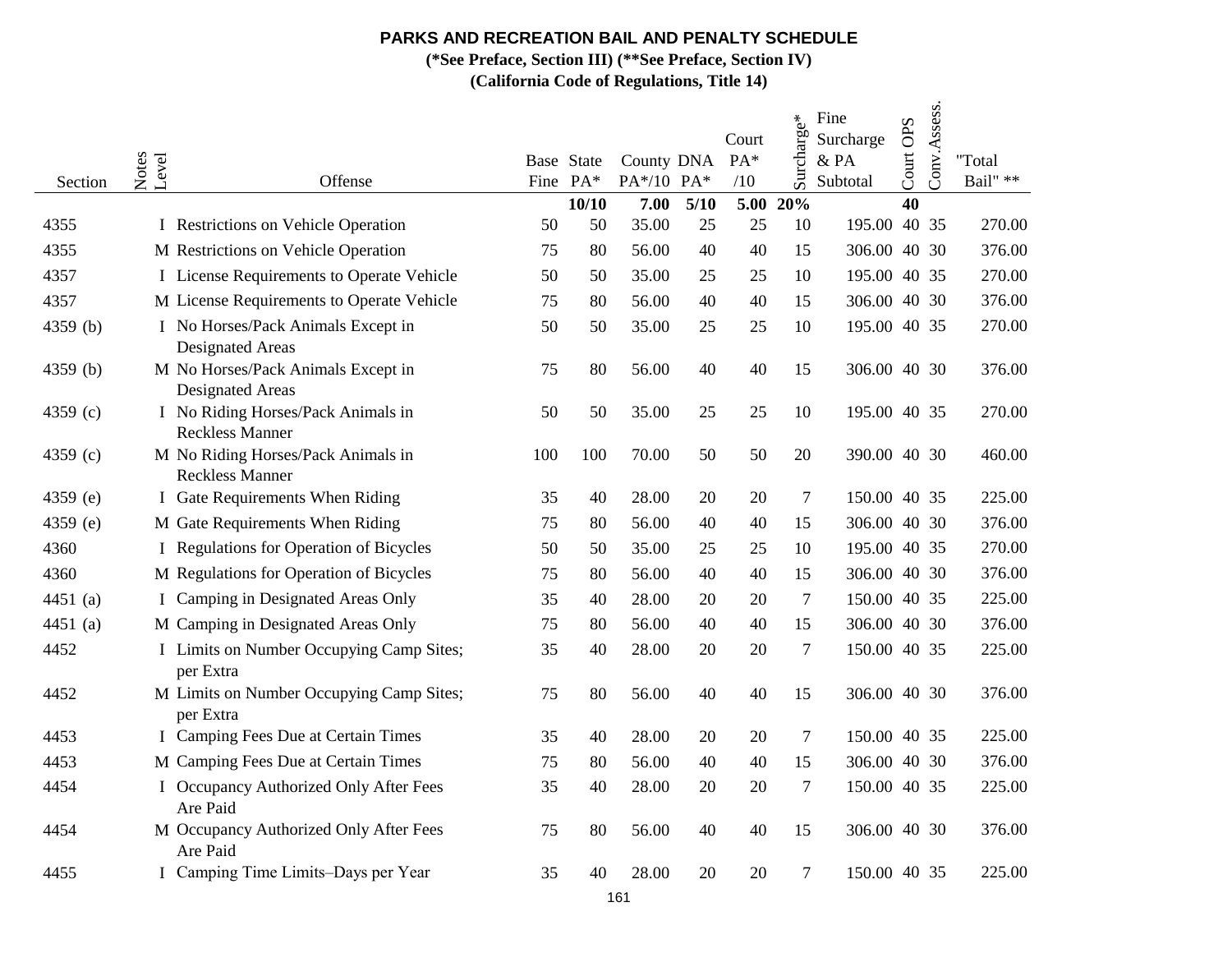**(\*See Preface, Section III) (\*\*See Preface, Section IV)**

| Section      | Notes<br>Level | Offense                                                                                |          | Base State<br>Fine PA* | County DNA<br>PA*/10 PA* |          | Court<br>$PA*$<br>/10 | Surcharge*     | Fine<br>Surcharge<br>& PA<br>Subtotal | Court OPS | Conv.Assess. | "Total<br>Bail" ** |
|--------------|----------------|----------------------------------------------------------------------------------------|----------|------------------------|--------------------------|----------|-----------------------|----------------|---------------------------------------|-----------|--------------|--------------------|
|              |                |                                                                                        |          | 10/10                  | 7.00                     | 5/10     | 5.00                  | 20%            |                                       | 40        |              |                    |
| 4355         |                | I Restrictions on Vehicle Operation                                                    | 50       | 50                     | 35.00                    | 25       | 25                    | 10             | 195.00 40 35                          |           |              | 270.00             |
| 4355<br>4357 |                | M Restrictions on Vehicle Operation                                                    | 75<br>50 | 80<br>50               | 56.00                    | 40<br>25 | 40<br>25              | 15<br>10       | 306.00 40 30<br>195.00 40 35          |           |              | 376.00<br>270.00   |
| 4357         |                | I License Requirements to Operate Vehicle<br>M License Requirements to Operate Vehicle | 75       | 80                     | 35.00<br>56.00           | 40       | 40                    | 15             | 306.00 40 30                          |           |              | 376.00             |
|              |                |                                                                                        | 50       | 50                     | 35.00                    | 25       | 25                    | 10             | 195.00 40 35                          |           |              | 270.00             |
| 4359 (b)     |                | I No Horses/Pack Animals Except in<br><b>Designated Areas</b>                          |          |                        |                          |          |                       |                |                                       |           |              |                    |
| 4359 (b)     |                | M No Horses/Pack Animals Except in<br><b>Designated Areas</b>                          | 75       | 80                     | 56.00                    | 40       | 40                    | 15             | 306.00 40 30                          |           |              | 376.00             |
| 4359 (c)     |                | I No Riding Horses/Pack Animals in<br><b>Reckless Manner</b>                           | 50       | 50                     | 35.00                    | 25       | 25                    | 10             | 195.00 40 35                          |           |              | 270.00             |
| 4359 (c)     |                | M No Riding Horses/Pack Animals in<br><b>Reckless Manner</b>                           | 100      | 100                    | 70.00                    | 50       | 50                    | 20             | 390.00 40 30                          |           |              | 460.00             |
| 4359 (e)     |                | I Gate Requirements When Riding                                                        | 35       | 40                     | 28.00                    | 20       | 20                    | $\tau$         | 150.00 40 35                          |           |              | 225.00             |
| 4359 (e)     |                | M Gate Requirements When Riding                                                        | 75       | 80                     | 56.00                    | 40       | 40                    | 15             | 306.00 40 30                          |           |              | 376.00             |
| 4360         |                | I Regulations for Operation of Bicycles                                                | 50       | 50                     | 35.00                    | 25       | 25                    | 10             | 195.00 40 35                          |           |              | 270.00             |
| 4360         |                | M Regulations for Operation of Bicycles                                                | 75       | 80                     | 56.00                    | 40       | 40                    | 15             | 306.00 40 30                          |           |              | 376.00             |
| 4451 (a)     |                | I Camping in Designated Areas Only                                                     | 35       | 40                     | 28.00                    | 20       | 20                    | $\overline{7}$ | 150.00 40 35                          |           |              | 225.00             |
| 4451 (a)     |                | M Camping in Designated Areas Only                                                     | 75       | 80                     | 56.00                    | 40       | 40                    | 15             | 306.00 40 30                          |           |              | 376.00             |
| 4452         |                | I Limits on Number Occupying Camp Sites;<br>per Extra                                  | 35       | 40                     | 28.00                    | 20       | 20                    | 7              | 150.00 40 35                          |           |              | 225.00             |
| 4452         |                | M Limits on Number Occupying Camp Sites;<br>per Extra                                  | 75       | 80                     | 56.00                    | 40       | 40                    | 15             | 306.00 40 30                          |           |              | 376.00             |
| 4453         |                | I Camping Fees Due at Certain Times                                                    | 35       | 40                     | 28.00                    | 20       | 20                    | $\tau$         | 150.00 40 35                          |           |              | 225.00             |
| 4453         |                | M Camping Fees Due at Certain Times                                                    | 75       | 80                     | 56.00                    | 40       | 40                    | 15             | 306.00 40 30                          |           |              | 376.00             |
| 4454         |                | I Occupancy Authorized Only After Fees<br>Are Paid                                     | 35       | 40                     | 28.00                    | 20       | 20                    | $\tau$         | 150.00 40 35                          |           |              | 225.00             |
| 4454         |                | M Occupancy Authorized Only After Fees<br>Are Paid                                     | 75       | 80                     | 56.00                    | 40       | 40                    | 15             | 306.00 40 30                          |           |              | 376.00             |
| 4455         |                | I Camping Time Limits-Days per Year                                                    | 35       | 40                     | 28.00                    | 20       | 20                    | $\tau$         | 150.00 40 35                          |           |              | 225.00             |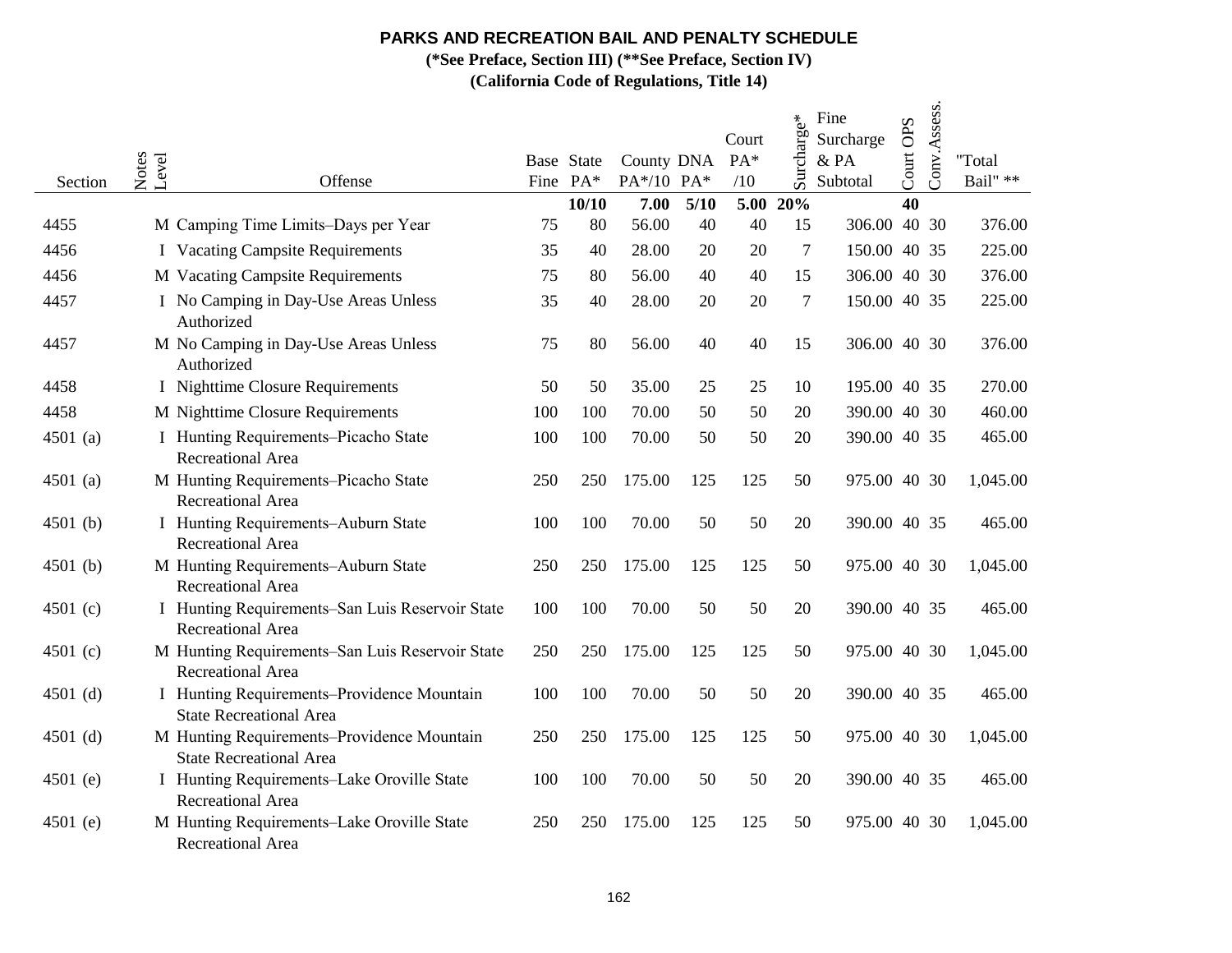**(\*See Preface, Section III) (\*\*See Preface, Section IV)**

| Section    | Notes<br>Level<br>Offense                                                    |     | Base State<br>Fine PA* | County DNA<br>PA*/10 PA* |      | Court<br>PA*<br>/10 | charge*<br>S <sub>UT</sub> | Fine<br>Surcharge<br>& PA<br>Subtotal | Court OPS | Conv.Assess. | "Total<br>Bail" ** |
|------------|------------------------------------------------------------------------------|-----|------------------------|--------------------------|------|---------------------|----------------------------|---------------------------------------|-----------|--------------|--------------------|
|            |                                                                              |     | 10/10                  | 7.00                     | 5/10 | 5.00                | 20%                        |                                       | 40        |              |                    |
| 4455       | M Camping Time Limits-Days per Year                                          | 75  | 80                     | 56.00                    | 40   | 40                  | 15                         | 306.00 40 30                          |           |              | 376.00             |
| 4456       | <b>I</b> Vacating Campsite Requirements                                      | 35  | 40                     | 28.00                    | 20   | 20                  | 7                          | 150.00 40 35                          |           |              | 225.00             |
| 4456       | M Vacating Campsite Requirements                                             | 75  | 80                     | 56.00                    | 40   | 40                  | 15                         | 306.00 40 30                          |           |              | 376.00             |
| 4457       | I No Camping in Day-Use Areas Unless<br>Authorized                           | 35  | 40                     | 28.00                    | 20   | 20                  | $\tau$                     | 150.00 40 35                          |           |              | 225.00             |
| 4457       | M No Camping in Day-Use Areas Unless<br>Authorized                           | 75  | 80                     | 56.00                    | 40   | 40                  | 15                         | 306.00 40 30                          |           |              | 376.00             |
| 4458       | I Nighttime Closure Requirements                                             | 50  | 50                     | 35.00                    | 25   | 25                  | 10                         | 195.00 40 35                          |           |              | 270.00             |
| 4458       | M Nighttime Closure Requirements                                             | 100 | 100                    | 70.00                    | 50   | 50                  | 20                         | 390.00 40 30                          |           |              | 460.00             |
| 4501 (a)   | I Hunting Requirements-Picacho State<br>Recreational Area                    | 100 | 100                    | 70.00                    | 50   | 50                  | 20                         | 390.00 40 35                          |           |              | 465.00             |
| 4501 (a)   | M Hunting Requirements-Picacho State<br><b>Recreational Area</b>             | 250 | 250                    | 175.00                   | 125  | 125                 | 50                         | 975.00 40 30                          |           |              | 1,045.00           |
| 4501 (b)   | I Hunting Requirements-Auburn State<br><b>Recreational Area</b>              | 100 | 100                    | 70.00                    | 50   | 50                  | 20                         | 390.00 40 35                          |           |              | 465.00             |
| $4501$ (b) | M Hunting Requirements-Auburn State<br>Recreational Area                     | 250 | 250                    | 175.00                   | 125  | 125                 | 50                         | 975.00 40 30                          |           |              | 1,045.00           |
| 4501 (c)   | I Hunting Requirements-San Luis Reservoir State<br><b>Recreational Area</b>  | 100 | 100                    | 70.00                    | 50   | 50                  | 20                         | 390.00 40 35                          |           |              | 465.00             |
| 4501 (c)   | M Hunting Requirements-San Luis Reservoir State<br><b>Recreational Area</b>  | 250 | 250                    | 175.00                   | 125  | 125                 | 50                         | 975.00 40 30                          |           |              | 1,045.00           |
| 4501 $(d)$ | I Hunting Requirements-Providence Mountain<br><b>State Recreational Area</b> | 100 | 100                    | 70.00                    | 50   | 50                  | 20                         | 390.00 40 35                          |           |              | 465.00             |
| 4501 $(d)$ | M Hunting Requirements-Providence Mountain<br><b>State Recreational Area</b> | 250 | 250                    | 175.00                   | 125  | 125                 | 50                         | 975.00 40 30                          |           |              | 1,045.00           |
| 4501 (e)   | I Hunting Requirements-Lake Oroville State<br>Recreational Area              | 100 | 100                    | 70.00                    | 50   | 50                  | 20                         | 390.00 40 35                          |           |              | 465.00             |
| 4501 (e)   | M Hunting Requirements-Lake Oroville State<br>Recreational Area              | 250 | 250                    | 175.00                   | 125  | 125                 | 50                         | 975.00 40 30                          |           |              | 1,045.00           |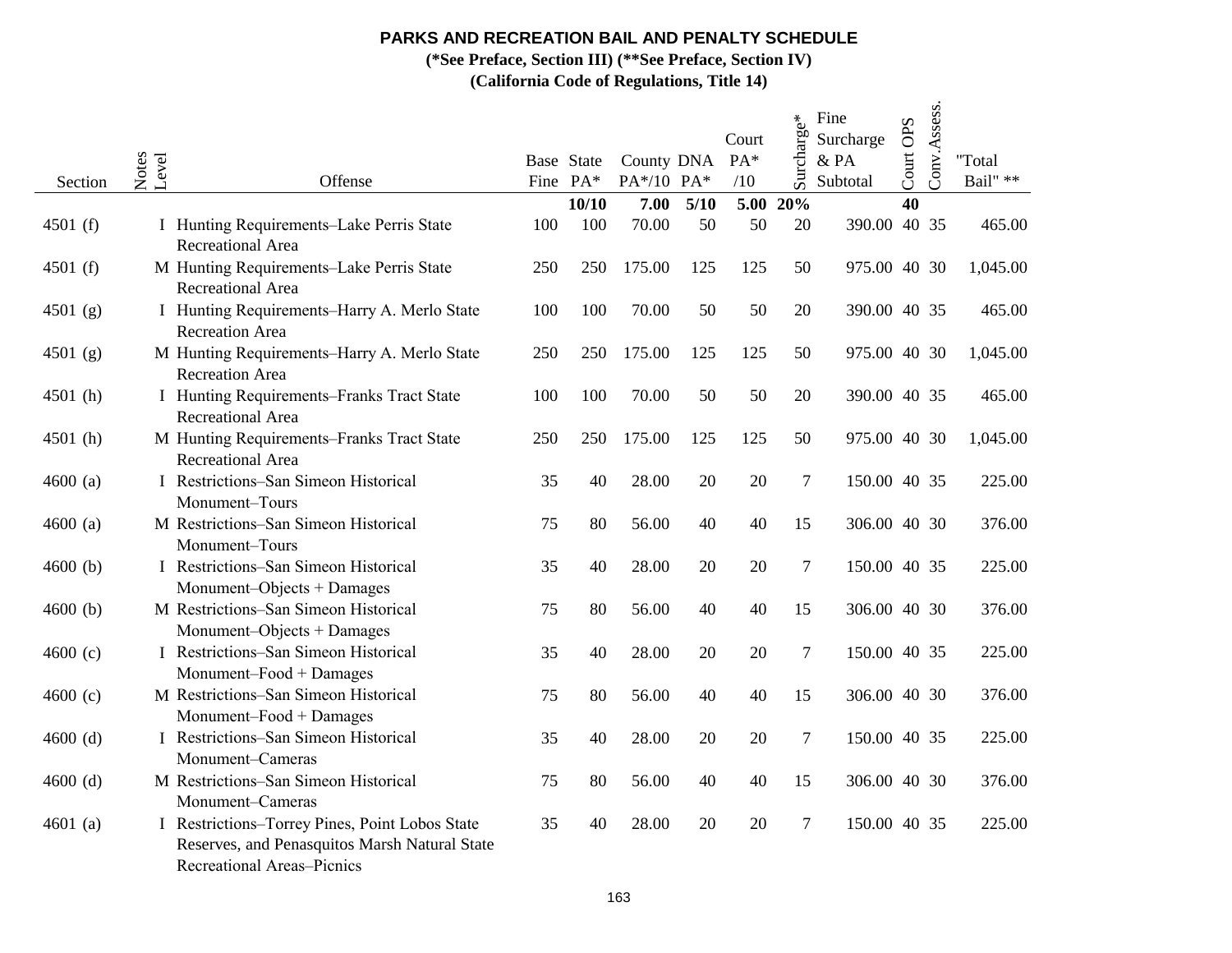**(\*See Preface, Section III) (\*\*See Preface, Section IV)**

| Section    | Notes<br>Level | Offense                                                                                                                       |     | Base State<br>Fine PA* | County DNA<br>PA*/10 PA* |      | Court<br>$PA*$<br>/10 | Surcharge*       | Fine<br>Surcharge<br>$&$ PA<br>Subtotal | Court OPS | Conv.Assess. | "Total<br>Bail" ** |
|------------|----------------|-------------------------------------------------------------------------------------------------------------------------------|-----|------------------------|--------------------------|------|-----------------------|------------------|-----------------------------------------|-----------|--------------|--------------------|
|            |                |                                                                                                                               |     | 10/10                  | 7.00                     | 5/10 | 5.00                  | 20%              |                                         | 40        |              |                    |
| 4501 $(f)$ |                | I Hunting Requirements-Lake Perris State<br><b>Recreational Area</b>                                                          | 100 | 100                    | 70.00                    | 50   | 50                    | 20               | 390.00 40 35                            |           |              | 465.00             |
| 4501 $(f)$ |                | M Hunting Requirements-Lake Perris State<br><b>Recreational Area</b>                                                          | 250 | 250                    | 175.00                   | 125  | 125                   | 50               | 975.00 40 30                            |           |              | 1,045.00           |
| 4501 (g)   |                | I Hunting Requirements-Harry A. Merlo State<br><b>Recreation Area</b>                                                         | 100 | 100                    | 70.00                    | 50   | 50                    | 20               | 390.00 40 35                            |           |              | 465.00             |
| 4501 (g)   |                | M Hunting Requirements-Harry A. Merlo State<br><b>Recreation Area</b>                                                         | 250 | 250                    | 175.00                   | 125  | 125                   | 50               | 975.00 40 30                            |           |              | 1,045.00           |
| 4501 (h)   |                | I Hunting Requirements-Franks Tract State<br>Recreational Area                                                                | 100 | 100                    | 70.00                    | 50   | 50                    | 20               | 390.00 40 35                            |           |              | 465.00             |
| 4501 (h)   |                | M Hunting Requirements-Franks Tract State<br>Recreational Area                                                                | 250 | 250                    | 175.00                   | 125  | 125                   | 50               | 975.00 40 30                            |           |              | 1,045.00           |
| 4600(a)    |                | I Restrictions-San Simeon Historical<br>Monument-Tours                                                                        | 35  | 40                     | 28.00                    | 20   | 20                    | $\boldsymbol{7}$ | 150.00 40 35                            |           |              | 225.00             |
| 4600(a)    |                | M Restrictions-San Simeon Historical<br>Monument-Tours                                                                        | 75  | 80                     | 56.00                    | 40   | 40                    | 15               | 306.00 40 30                            |           |              | 376.00             |
| 4600(b)    |                | I Restrictions-San Simeon Historical<br>Monument-Objects + Damages                                                            | 35  | 40                     | 28.00                    | 20   | 20                    | $\boldsymbol{7}$ | 150.00 40 35                            |           |              | 225.00             |
| 4600(b)    |                | M Restrictions-San Simeon Historical<br>Monument-Objects + Damages                                                            | 75  | 80                     | 56.00                    | 40   | 40                    | 15               | 306.00 40 30                            |           |              | 376.00             |
| 4600(c)    |                | I Restrictions–San Simeon Historical<br>Monument-Food + Damages                                                               | 35  | 40                     | 28.00                    | 20   | 20                    | $\tau$           | 150.00 40 35                            |           |              | 225.00             |
| 4600(c)    |                | M Restrictions-San Simeon Historical<br>Monument-Food + Damages                                                               | 75  | 80                     | 56.00                    | 40   | 40                    | 15               | 306.00 40 30                            |           |              | 376.00             |
| $4600$ (d) |                | I Restrictions-San Simeon Historical<br>Monument-Cameras                                                                      | 35  | 40                     | 28.00                    | 20   | 20                    | 7                | 150.00 40 35                            |           |              | 225.00             |
| $4600$ (d) |                | M Restrictions-San Simeon Historical<br>Monument-Cameras                                                                      | 75  | 80                     | 56.00                    | 40   | 40                    | 15               | 306.00 40 30                            |           |              | 376.00             |
| 4601 $(a)$ |                | I Restrictions-Torrey Pines, Point Lobos State<br>Reserves, and Penasquitos Marsh Natural State<br>Recreational Areas-Picnics | 35  | 40                     | 28.00                    | 20   | 20                    | 7                | 150.00 40 35                            |           |              | 225.00             |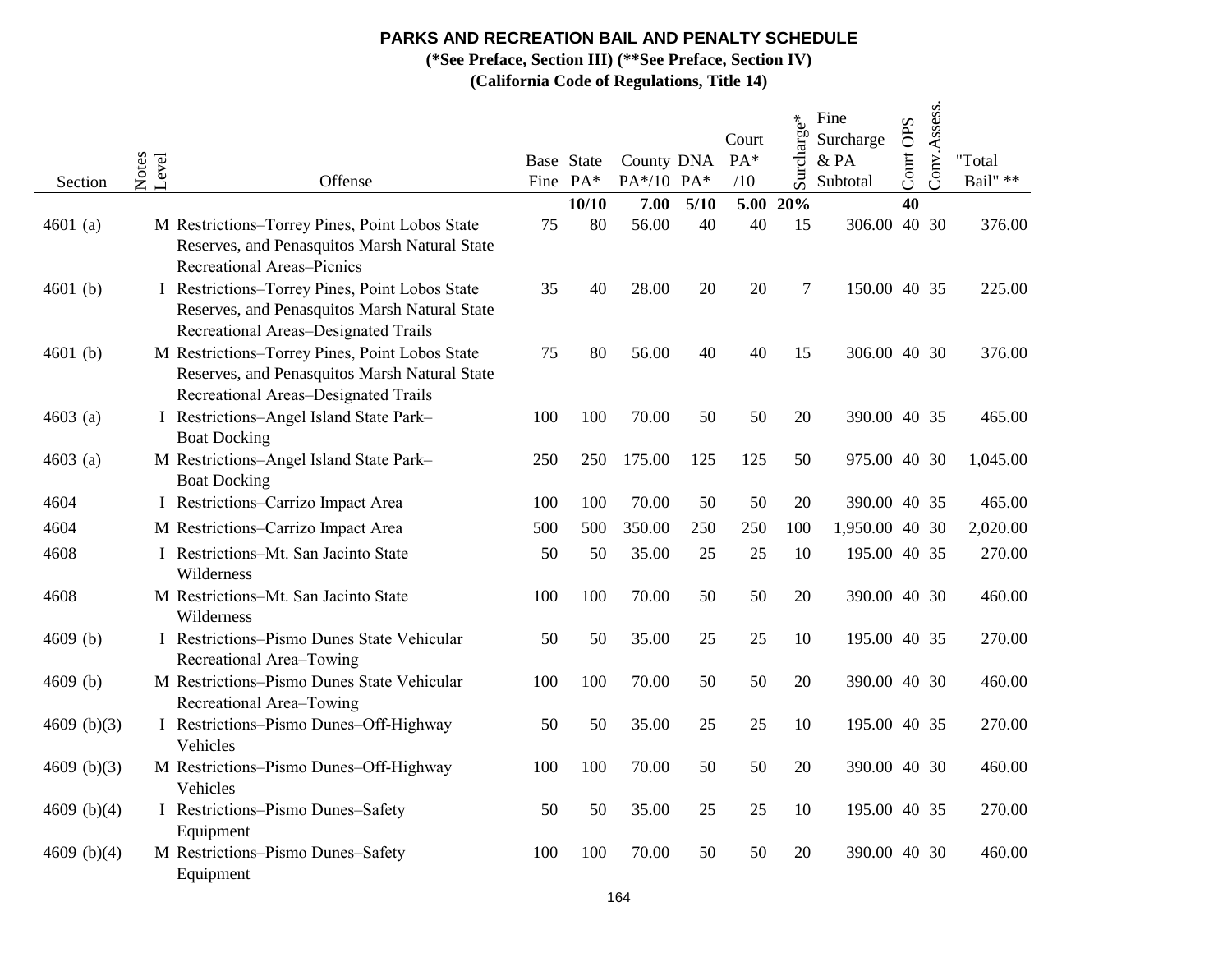**(\*See Preface, Section III) (\*\*See Preface, Section IV)**

| Section       | Notes<br>Level | Offense                                                                                                                                 |     | Base State<br>Fine PA* | County DNA<br>PA*/10 PA* |        | Court<br>PA*<br>/10 | Surcharge* | Fine<br>Surcharge<br>& PA<br>Subtotal | Court OPS | Conv.Assess. | "Total<br>Bail" ** |
|---------------|----------------|-----------------------------------------------------------------------------------------------------------------------------------------|-----|------------------------|--------------------------|--------|---------------------|------------|---------------------------------------|-----------|--------------|--------------------|
|               |                |                                                                                                                                         |     | 10/10                  | 7.00                     | $5/10$ | 5.00                | 20%        |                                       | 40        |              |                    |
| 4601 (a)      |                | M Restrictions-Torrey Pines, Point Lobos State<br>Reserves, and Penasquitos Marsh Natural State<br><b>Recreational Areas-Picnics</b>    | 75  | 80                     | 56.00                    | 40     | 40                  | 15         | 306.00 40 30                          |           |              | 376.00             |
| 4601 $(b)$    |                | I Restrictions-Torrey Pines, Point Lobos State<br>Reserves, and Penasquitos Marsh Natural State<br>Recreational Areas-Designated Trails | 35  | 40                     | 28.00                    | 20     | 20                  | 7          | 150.00 40 35                          |           |              | 225.00             |
| 4601 $(b)$    |                | M Restrictions-Torrey Pines, Point Lobos State<br>Reserves, and Penasquitos Marsh Natural State<br>Recreational Areas-Designated Trails | 75  | 80                     | 56.00                    | 40     | 40                  | 15         | 306.00 40 30                          |           |              | 376.00             |
| 4603 $(a)$    |                | I Restrictions-Angel Island State Park-<br><b>Boat Docking</b>                                                                          | 100 | 100                    | 70.00                    | 50     | 50                  | 20         | 390.00 40 35                          |           |              | 465.00             |
| $4603$ (a)    |                | M Restrictions-Angel Island State Park-<br><b>Boat Docking</b>                                                                          | 250 | 250                    | 175.00                   | 125    | 125                 | 50         | 975.00 40 30                          |           |              | 1,045.00           |
| 4604          |                | I Restrictions-Carrizo Impact Area                                                                                                      | 100 | 100                    | 70.00                    | 50     | 50                  | 20         | 390.00 40 35                          |           |              | 465.00             |
| 4604          |                | M Restrictions-Carrizo Impact Area                                                                                                      | 500 | 500                    | 350.00                   | 250    | 250                 | 100        | 1,950.00 40 30                        |           |              | 2,020.00           |
| 4608          |                | I Restrictions-Mt. San Jacinto State<br>Wilderness                                                                                      | 50  | 50                     | 35.00                    | 25     | 25                  | 10         | 195.00 40 35                          |           |              | 270.00             |
| 4608          |                | M Restrictions-Mt. San Jacinto State<br>Wilderness                                                                                      | 100 | 100                    | 70.00                    | 50     | 50                  | 20         | 390.00 40 30                          |           |              | 460.00             |
| $4609$ (b)    |                | I Restrictions-Pismo Dunes State Vehicular<br>Recreational Area-Towing                                                                  | 50  | 50                     | 35.00                    | 25     | 25                  | 10         | 195.00 40 35                          |           |              | 270.00             |
| 4609(b)       |                | M Restrictions-Pismo Dunes State Vehicular<br>Recreational Area-Towing                                                                  | 100 | 100                    | 70.00                    | 50     | 50                  | 20         | 390.00 40 30                          |           |              | 460.00             |
| 4609 $(b)(3)$ |                | I Restrictions-Pismo Dunes-Off-Highway<br>Vehicles                                                                                      | 50  | 50                     | 35.00                    | 25     | 25                  | 10         | 195.00 40 35                          |           |              | 270.00             |
| 4609 $(b)(3)$ |                | M Restrictions-Pismo Dunes-Off-Highway<br>Vehicles                                                                                      | 100 | 100                    | 70.00                    | 50     | 50                  | 20         | 390.00 40 30                          |           |              | 460.00             |
| 4609 $(b)(4)$ |                | I Restrictions-Pismo Dunes-Safety<br>Equipment                                                                                          | 50  | 50                     | 35.00                    | 25     | 25                  | 10         | 195.00 40 35                          |           |              | 270.00             |
| 4609 $(b)(4)$ |                | M Restrictions-Pismo Dunes-Safety<br>Equipment                                                                                          | 100 | 100                    | 70.00                    | 50     | 50                  | 20         | 390.00 40 30                          |           |              | 460.00             |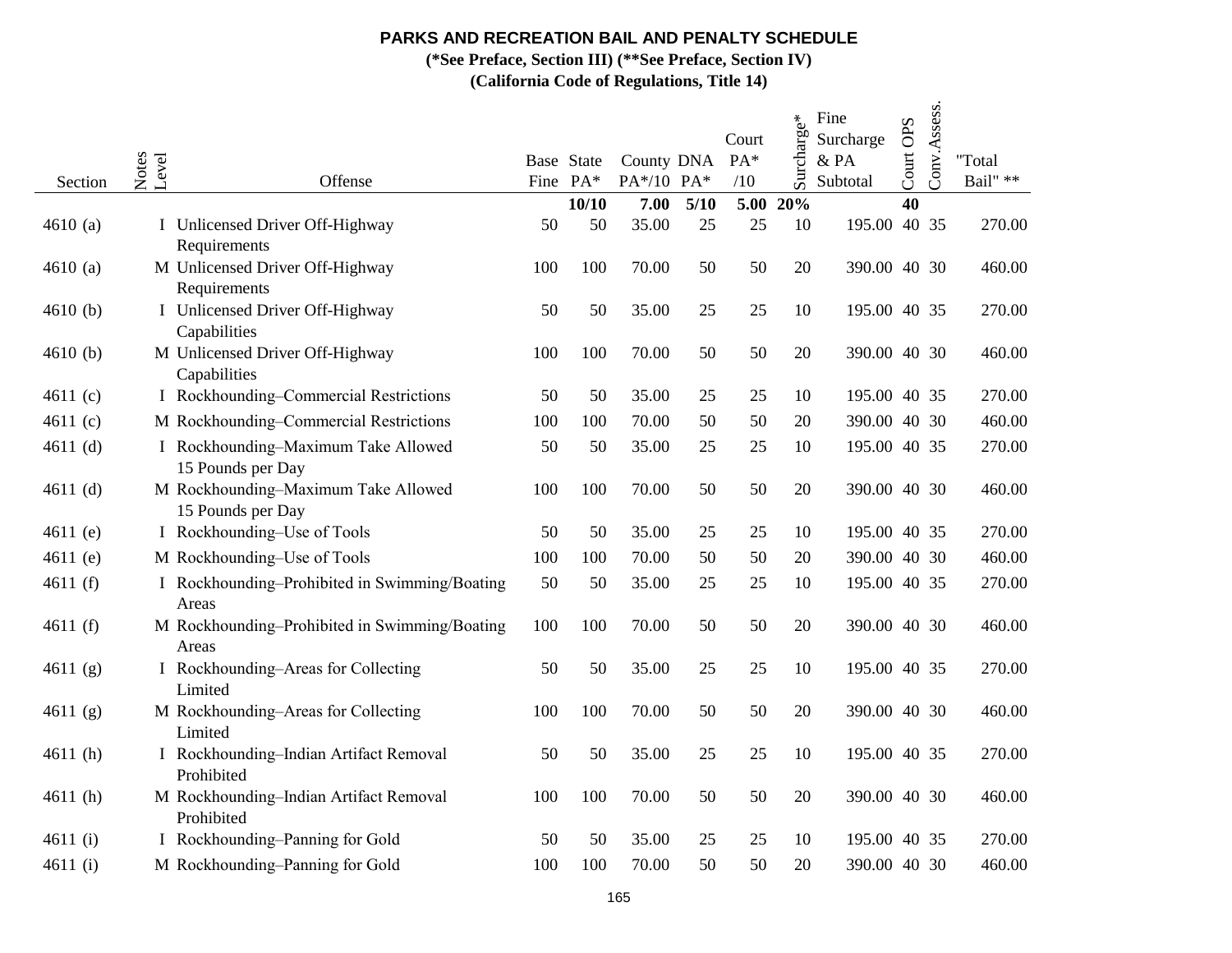**(\*See Preface, Section III) (\*\*See Preface, Section IV)**

| Section    | Notes<br>Level | Offense                                                  |     | Base State<br>Fine PA* | County DNA<br>PA*/10 PA* |      | Court<br>$PA*$<br>/10 | Surcharge* | Fine<br>Surcharge<br>$\&$ PA<br>Subtotal | Court OPS | Conv.Assess. | "Total<br>Bail" $\ast\ast$ |
|------------|----------------|----------------------------------------------------------|-----|------------------------|--------------------------|------|-----------------------|------------|------------------------------------------|-----------|--------------|----------------------------|
|            |                |                                                          |     | 10/10                  | 7.00                     | 5/10 |                       | 5.00 20%   |                                          | 40        |              |                            |
| 4610 $(a)$ |                | I Unlicensed Driver Off-Highway<br>Requirements          | 50  | 50                     | 35.00                    | 25   | 25                    | 10         | 195.00 40 35                             |           |              | 270.00                     |
| 4610 $(a)$ |                | M Unlicensed Driver Off-Highway<br>Requirements          | 100 | 100                    | 70.00                    | 50   | 50                    | 20         | 390.00 40 30                             |           |              | 460.00                     |
| 4610(b)    |                | I Unlicensed Driver Off-Highway<br>Capabilities          | 50  | 50                     | 35.00                    | 25   | 25                    | 10         | 195.00 40 35                             |           |              | 270.00                     |
| 4610(b)    |                | M Unlicensed Driver Off-Highway<br>Capabilities          | 100 | 100                    | 70.00                    | 50   | 50                    | 20         | 390.00 40 30                             |           |              | 460.00                     |
| 4611 $(c)$ |                | I Rockhounding-Commercial Restrictions                   | 50  | 50                     | 35.00                    | 25   | 25                    | 10         | 195.00 40 35                             |           |              | 270.00                     |
| 4611 (c)   |                | M Rockhounding-Commercial Restrictions                   | 100 | 100                    | 70.00                    | 50   | 50                    | 20         | 390.00 40 30                             |           |              | 460.00                     |
| $4611$ (d) |                | I Rockhounding-Maximum Take Allowed<br>15 Pounds per Day | 50  | 50                     | 35.00                    | 25   | 25                    | 10         | 195.00 40 35                             |           |              | 270.00                     |
| 4611 $(d)$ |                | M Rockhounding-Maximum Take Allowed<br>15 Pounds per Day | 100 | 100                    | 70.00                    | 50   | 50                    | 20         | 390.00 40 30                             |           |              | 460.00                     |
| 4611 $(e)$ |                | I Rockhounding-Use of Tools                              | 50  | 50                     | 35.00                    | 25   | 25                    | 10         | 195.00 40 35                             |           |              | 270.00                     |
| 4611 (e)   |                | M Rockhounding-Use of Tools                              | 100 | 100                    | 70.00                    | 50   | 50                    | 20         | 390.00 40 30                             |           |              | 460.00                     |
| 4611 $(f)$ |                | I Rockhounding-Prohibited in Swimming/Boating<br>Areas   | 50  | 50                     | 35.00                    | 25   | 25                    | 10         | 195.00 40 35                             |           |              | 270.00                     |
| 4611 $(f)$ |                | M Rockhounding-Prohibited in Swimming/Boating<br>Areas   | 100 | 100                    | 70.00                    | 50   | 50                    | 20         | 390.00 40 30                             |           |              | 460.00                     |
| 4611 (g)   |                | I Rockhounding-Areas for Collecting<br>Limited           | 50  | 50                     | 35.00                    | 25   | 25                    | 10         | 195.00 40 35                             |           |              | 270.00                     |
| 4611 (g)   |                | M Rockhounding-Areas for Collecting<br>Limited           | 100 | 100                    | 70.00                    | 50   | 50                    | 20         | 390.00 40 30                             |           |              | 460.00                     |
| 4611(h)    |                | I Rockhounding-Indian Artifact Removal<br>Prohibited     | 50  | 50                     | 35.00                    | 25   | 25                    | 10         | 195.00 40 35                             |           |              | 270.00                     |
| 4611 (h)   |                | M Rockhounding-Indian Artifact Removal<br>Prohibited     | 100 | 100                    | 70.00                    | 50   | 50                    | 20         | 390.00 40 30                             |           |              | 460.00                     |
| 4611 (i)   |                | I Rockhounding-Panning for Gold                          | 50  | 50                     | 35.00                    | 25   | 25                    | 10         | 195.00 40 35                             |           |              | 270.00                     |
| 4611(i)    |                | M Rockhounding-Panning for Gold                          | 100 | 100                    | 70.00                    | 50   | 50                    | 20         | 390.00 40 30                             |           |              | 460.00                     |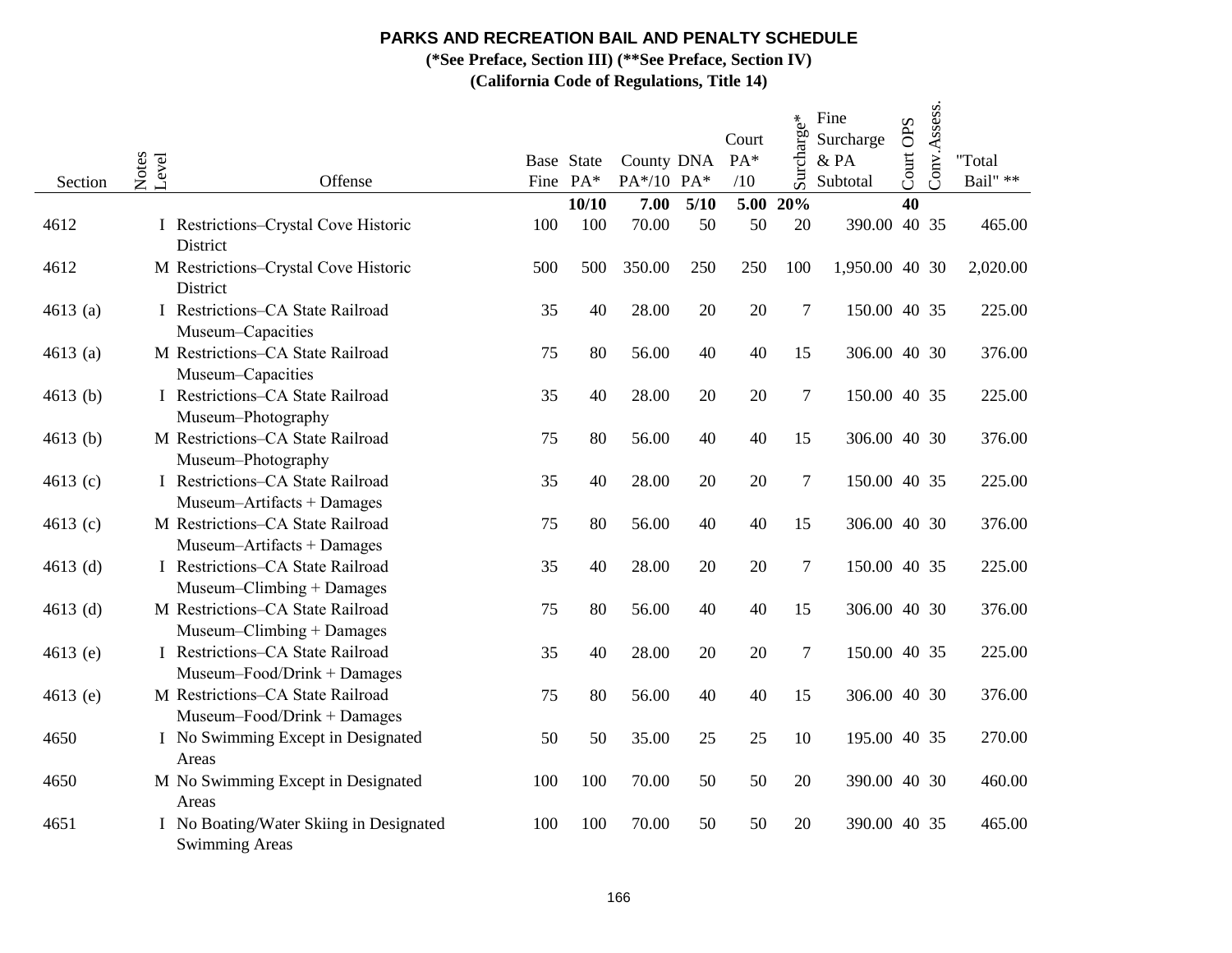**(\*See Preface, Section III) (\*\*See Preface, Section IV)**

| Section    | Notes<br>Level | Offense                                                          | Fine PA* | Base State | County DNA<br>PA*/10 PA* |      | Court<br>PA*<br>/10 | Surcharge* | Fine<br>Surcharge<br>& PA<br>Subtotal | Court OPS | Conv.Assess. | "Total<br>Bail" ** |
|------------|----------------|------------------------------------------------------------------|----------|------------|--------------------------|------|---------------------|------------|---------------------------------------|-----------|--------------|--------------------|
|            |                |                                                                  |          | 10/10      | 7.00                     | 5/10 | 5.00                | 20%        |                                       | 40        |              |                    |
| 4612       |                | I Restrictions-Crystal Cove Historic<br>District                 | 100      | 100        | 70.00                    | 50   | 50                  | 20         | 390.00                                |           | 40 35        | 465.00             |
| 4612       |                | M Restrictions-Crystal Cove Historic<br>District                 | 500      | 500        | 350.00                   | 250  | 250                 | 100        | 1,950.00 40 30                        |           |              | 2,020.00           |
| 4613(a)    |                | I Restrictions-CA State Railroad<br>Museum-Capacities            | 35       | 40         | 28.00                    | 20   | 20                  | $\tau$     | 150.00 40 35                          |           |              | 225.00             |
| 4613(a)    |                | M Restrictions-CA State Railroad<br>Museum-Capacities            | 75       | 80         | 56.00                    | 40   | 40                  | 15         | 306.00 40 30                          |           |              | 376.00             |
| $4613$ (b) |                | I Restrictions-CA State Railroad<br>Museum-Photography           | 35       | 40         | 28.00                    | 20   | 20                  | $\tau$     | 150.00 40 35                          |           |              | 225.00             |
| 4613 (b)   |                | M Restrictions–CA State Railroad<br>Museum-Photography           | 75       | 80         | 56.00                    | 40   | 40                  | 15         | 306.00 40 30                          |           |              | 376.00             |
| 4613 $(c)$ |                | I Restrictions-CA State Railroad<br>Museum-Artifacts + Damages   | 35       | 40         | 28.00                    | 20   | 20                  | $\tau$     | 150.00 40 35                          |           |              | 225.00             |
| 4613 $(c)$ |                | M Restrictions-CA State Railroad<br>Museum-Artifacts + Damages   | 75       | 80         | 56.00                    | 40   | 40                  | 15         | 306.00 40 30                          |           |              | 376.00             |
| 4613 $(d)$ |                | I Restrictions-CA State Railroad<br>Museum-Climbing + Damages    | 35       | 40         | 28.00                    | 20   | 20                  | $\tau$     | 150.00 40 35                          |           |              | 225.00             |
| 4613 $(d)$ |                | M Restrictions-CA State Railroad<br>Museum-Climbing + Damages    | 75       | 80         | 56.00                    | 40   | 40                  | 15         | 306.00 40 30                          |           |              | 376.00             |
| 4613 (e)   |                | I Restrictions-CA State Railroad<br>Museum-Food/Drink + Damages  | 35       | 40         | 28.00                    | 20   | 20                  | $\tau$     | 150.00 40 35                          |           |              | 225.00             |
| 4613 (e)   |                | M Restrictions-CA State Railroad<br>Museum-Food/Drink + Damages  | 75       | 80         | 56.00                    | 40   | 40                  | 15         | 306.00 40 30                          |           |              | 376.00             |
| 4650       |                | I No Swimming Except in Designated<br>Areas                      | 50       | 50         | 35.00                    | 25   | 25                  | 10         | 195.00 40 35                          |           |              | 270.00             |
| 4650       |                | M No Swimming Except in Designated<br>Areas                      | 100      | 100        | 70.00                    | 50   | 50                  | 20         | 390.00 40 30                          |           |              | 460.00             |
| 4651       |                | I No Boating/Water Skiing in Designated<br><b>Swimming Areas</b> | 100      | 100        | 70.00                    | 50   | 50                  | 20         | 390.00 40 35                          |           |              | 465.00             |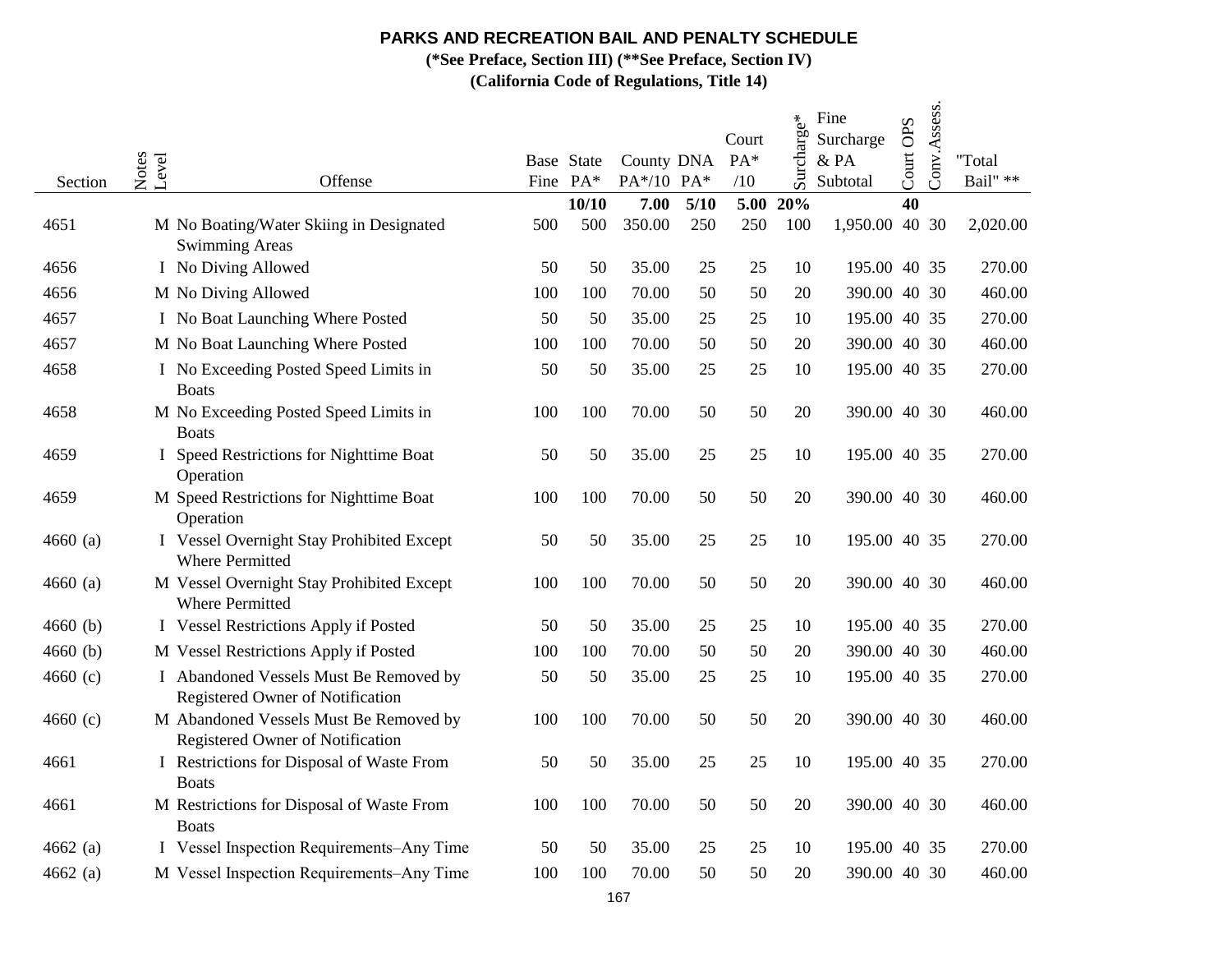**(\*See Preface, Section III) (\*\*See Preface, Section IV)**

| Section    | Notes<br>Level<br>Offense                                                  |     | Base State<br>Fine PA* | County DNA<br>PA*/10 PA* |      | Court<br>PA*<br>/10 | Surcharge* | Fine<br>Surcharge<br>& PA<br>Subtotal | Court OPS | Conv.Assess. | "Total<br>Bail" ** |
|------------|----------------------------------------------------------------------------|-----|------------------------|--------------------------|------|---------------------|------------|---------------------------------------|-----------|--------------|--------------------|
|            |                                                                            |     | 10/10                  | 7.00                     | 5/10 | 5.00                | 20%        |                                       | 40        |              |                    |
| 4651       | M No Boating/Water Skiing in Designated<br><b>Swimming Areas</b>           | 500 | 500                    | 350.00                   | 250  | 250                 | 100        | 1,950.00 40 30                        |           |              | 2,020.00           |
| 4656       | I No Diving Allowed                                                        | 50  | 50                     | 35.00                    | 25   | 25                  | 10         | 195.00 40 35                          |           |              | 270.00             |
| 4656       | M No Diving Allowed                                                        | 100 | 100                    | 70.00                    | 50   | 50                  | 20         | 390.00 40 30                          |           |              | 460.00             |
| 4657       | I No Boat Launching Where Posted                                           | 50  | 50                     | 35.00                    | 25   | 25                  | 10         | 195.00 40 35                          |           |              | 270.00             |
| 4657       | M No Boat Launching Where Posted                                           | 100 | 100                    | 70.00                    | 50   | 50                  | 20         | 390.00 40 30                          |           |              | 460.00             |
| 4658       | I No Exceeding Posted Speed Limits in<br><b>Boats</b>                      | 50  | 50                     | 35.00                    | 25   | 25                  | 10         | 195.00 40 35                          |           |              | 270.00             |
| 4658       | M No Exceeding Posted Speed Limits in<br><b>Boats</b>                      | 100 | 100                    | 70.00                    | 50   | 50                  | 20         | 390.00 40 30                          |           |              | 460.00             |
| 4659       | I Speed Restrictions for Nighttime Boat<br>Operation                       | 50  | 50                     | 35.00                    | 25   | 25                  | 10         | 195.00 40 35                          |           |              | 270.00             |
| 4659       | M Speed Restrictions for Nighttime Boat<br>Operation                       | 100 | 100                    | 70.00                    | 50   | 50                  | 20         | 390.00 40 30                          |           |              | 460.00             |
| $4660$ (a) | I Vessel Overnight Stay Prohibited Except<br><b>Where Permitted</b>        | 50  | 50                     | 35.00                    | 25   | 25                  | 10         | 195.00 40 35                          |           |              | 270.00             |
| $4660$ (a) | M Vessel Overnight Stay Prohibited Except<br><b>Where Permitted</b>        | 100 | 100                    | 70.00                    | 50   | 50                  | 20         | 390.00 40 30                          |           |              | 460.00             |
| 4660(b)    | I Vessel Restrictions Apply if Posted                                      | 50  | 50                     | 35.00                    | 25   | 25                  | 10         | 195.00 40 35                          |           |              | 270.00             |
| 4660(b)    | M Vessel Restrictions Apply if Posted                                      | 100 | 100                    | 70.00                    | 50   | 50                  | 20         | 390.00 40 30                          |           |              | 460.00             |
| 4660 $(c)$ | I Abandoned Vessels Must Be Removed by<br>Registered Owner of Notification | 50  | 50                     | 35.00                    | 25   | 25                  | 10         | 195.00 40 35                          |           |              | 270.00             |
| 4660 $(c)$ | M Abandoned Vessels Must Be Removed by<br>Registered Owner of Notification | 100 | 100                    | 70.00                    | 50   | 50                  | 20         | 390.00 40 30                          |           |              | 460.00             |
| 4661       | I Restrictions for Disposal of Waste From<br><b>Boats</b>                  | 50  | 50                     | 35.00                    | 25   | 25                  | 10         | 195.00 40 35                          |           |              | 270.00             |
| 4661       | M Restrictions for Disposal of Waste From<br><b>Boats</b>                  | 100 | 100                    | 70.00                    | 50   | 50                  | 20         | 390.00 40 30                          |           |              | 460.00             |
| 4662 $(a)$ | I Vessel Inspection Requirements-Any Time                                  | 50  | 50                     | 35.00                    | 25   | 25                  | 10         | 195.00 40 35                          |           |              | 270.00             |
| 4662 $(a)$ | M Vessel Inspection Requirements-Any Time                                  | 100 | 100                    | 70.00                    | 50   | 50                  | 20         | 390.00 40 30                          |           |              | 460.00             |